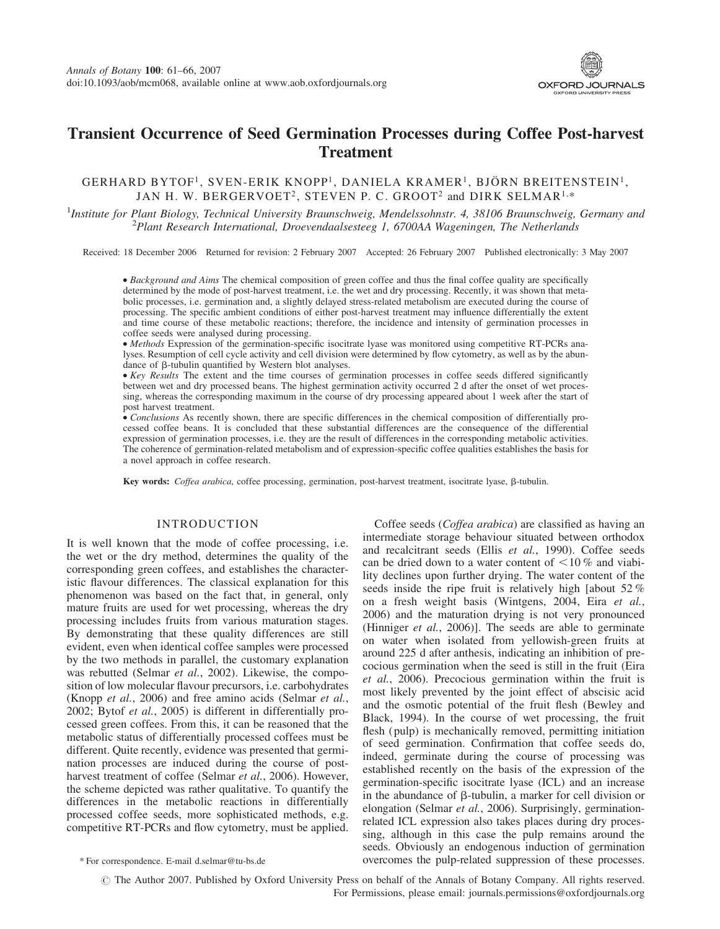

# Transient Occurrence of Seed Germination Processes during Coffee Post-harvest Treatment

## GERHARD BYTOF<sup>1</sup>, SVEN-ERIK KNOPP<sup>1</sup>, DANIELA KRAMER<sup>1</sup>, BJÖRN BREITENSTEIN<sup>1</sup>, JAN H. W. BERGERVOET<sup>2</sup>, STEVEN P. C. GROOT<sup>2</sup> and DIRK SELMAR<sup>1,\*</sup>

<sup>1</sup>Institute for Plant Biology, Technical University Braunschweig, Mendelssohnstr. 4, 38106 Braunschweig, Germany and <sup>2</sup>Plant Research International, Droevendaalsesteeg 1, 6700AA Wageningen, The Netherlands

Received: 18 December 2006 Returned for revision: 2 February 2007 Accepted: 26 February 2007 Published electronically: 3 May 2007

† Background and Aims The chemical composition of green coffee and thus the final coffee quality are specifically determined by the mode of post-harvest treatment, i.e. the wet and dry processing. Recently, it was shown that metabolic processes, i.e. germination and, a slightly delayed stress-related metabolism are executed during the course of processing. The specific ambient conditions of either post-harvest treatment may influence differentially the extent and time course of these metabolic reactions; therefore, the incidence and intensity of germination processes in coffee seeds were analysed during processing.

• Methods Expression of the germination-specific isocitrate lyase was monitored using competitive RT-PCRs analyses. Resumption of cell cycle activity and cell division were determined by flow cytometry, as well as by the abundance of  $\beta$ -tubulin quantified by Western blot analyses.

• Key Results The extent and the time courses of germination processes in coffee seeds differed significantly between wet and dry processed beans. The highest germination activity occurred 2 d after the onset of wet processing, whereas the corresponding maximum in the course of dry processing appeared about 1 week after the start of post harvest treatment.

• Conclusions As recently shown, there are specific differences in the chemical composition of differentially processed coffee beans. It is concluded that these substantial differences are the consequence of the differential expression of germination processes, i.e. they are the result of differences in the corresponding metabolic activities. The coherence of germination-related metabolism and of expression-specific coffee qualities establishes the basis for a novel approach in coffee research.

Key words: Coffea arabica, coffee processing, germination, post-harvest treatment, isocitrate lyase,  $\beta$ -tubulin.

## INTRODUCTION

It is well known that the mode of coffee processing, i.e. the wet or the dry method, determines the quality of the corresponding green coffees, and establishes the characteristic flavour differences. The classical explanation for this phenomenon was based on the fact that, in general, only mature fruits are used for wet processing, whereas the dry processing includes fruits from various maturation stages. By demonstrating that these quality differences are still evident, even when identical coffee samples were processed by the two methods in parallel, the customary explanation was rebutted (Selmar et al., 2002). Likewise, the composition of low molecular flavour precursors, i.e. carbohydrates (Knopp et al., 2006) and free amino acids (Selmar et al., 2002; Bytof et al., 2005) is different in differentially processed green coffees. From this, it can be reasoned that the metabolic status of differentially processed coffees must be different. Quite recently, evidence was presented that germination processes are induced during the course of postharvest treatment of coffee (Selmar et al., 2006). However, the scheme depicted was rather qualitative. To quantify the differences in the metabolic reactions in differentially processed coffee seeds, more sophisticated methods, e.g. competitive RT-PCRs and flow cytometry, must be applied.

Coffee seeds (Coffea arabica) are classified as having an intermediate storage behaviour situated between orthodox and recalcitrant seeds (Ellis et al., 1990). Coffee seeds can be dried down to a water content of  $<$ 10 % and viability declines upon further drying. The water content of the seeds inside the ripe fruit is relatively high [about 52 % on a fresh weight basis (Wintgens, 2004, Eira et al., 2006) and the maturation drying is not very pronounced (Hinniger et al., 2006)]. The seeds are able to germinate on water when isolated from yellowish-green fruits at around 225 d after anthesis, indicating an inhibition of precocious germination when the seed is still in the fruit (Eira et al., 2006). Precocious germination within the fruit is most likely prevented by the joint effect of abscisic acid and the osmotic potential of the fruit flesh (Bewley and Black, 1994). In the course of wet processing, the fruit flesh (pulp) is mechanically removed, permitting initiation of seed germination. Confirmation that coffee seeds do, indeed, germinate during the course of processing was established recently on the basis of the expression of the germination-specific isocitrate lyase (ICL) and an increase in the abundance of  $\beta$ -tubulin, a marker for cell division or elongation (Selmar et al., 2006). Surprisingly, germinationrelated ICL expression also takes places during dry processing, although in this case the pulp remains around the seeds. Obviously an endogenous induction of germination \* For correspondence. E-mail d.selmar@tu-bs.de overcomes the pulp-related suppression of these processes.

# The Author 2007. Published by Oxford University Press on behalf of the Annals of Botany Company. All rights reserved. For Permissions, please email: journals.permissions@oxfordjournals.org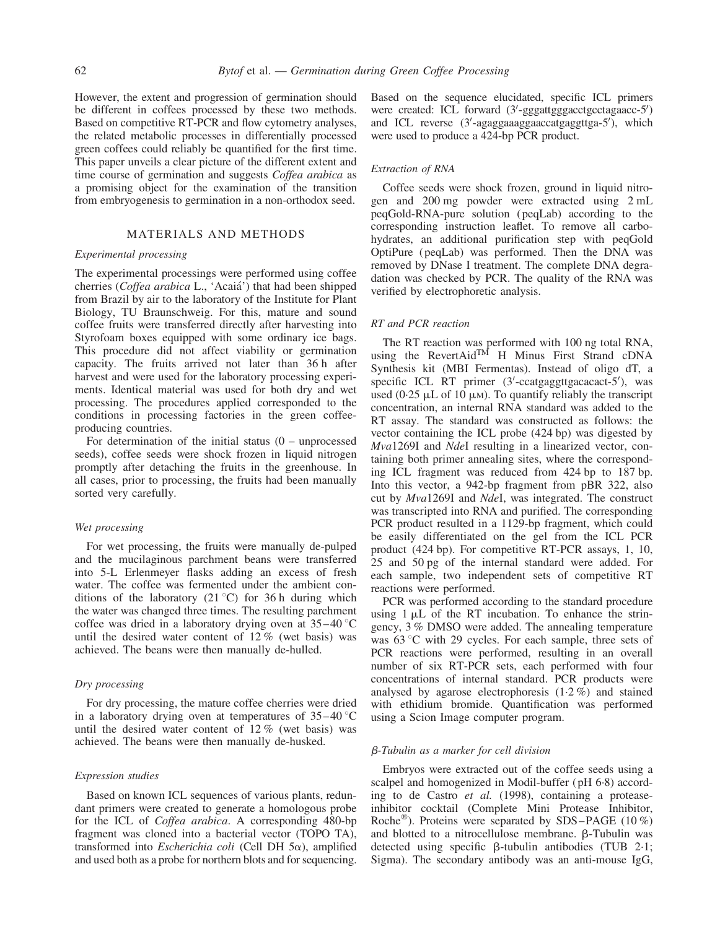However, the extent and progression of germination should be different in coffees processed by these two methods. Based on competitive RT-PCR and flow cytometry analyses, the related metabolic processes in differentially processed green coffees could reliably be quantified for the first time. This paper unveils a clear picture of the different extent and time course of germination and suggests Coffea arabica as a promising object for the examination of the transition from embryogenesis to germination in a non-orthodox seed.

## MATERIALS AND METHODS

## Experimental processing

The experimental processings were performed using coffee cherries (Coffea arabica L., 'Acaia´') that had been shipped from Brazil by air to the laboratory of the Institute for Plant Biology, TU Braunschweig. For this, mature and sound coffee fruits were transferred directly after harvesting into Styrofoam boxes equipped with some ordinary ice bags. This procedure did not affect viability or germination capacity. The fruits arrived not later than 36 h after harvest and were used for the laboratory processing experiments. Identical material was used for both dry and wet processing. The procedures applied corresponded to the conditions in processing factories in the green coffeeproducing countries.

For determination of the initial status  $(0 -$ unprocessed seeds), coffee seeds were shock frozen in liquid nitrogen promptly after detaching the fruits in the greenhouse. In all cases, prior to processing, the fruits had been manually sorted very carefully.

## Wet processing

For wet processing, the fruits were manually de-pulped and the mucilaginous parchment beans were transferred into 5-L Erlenmeyer flasks adding an excess of fresh water. The coffee was fermented under the ambient conditions of the laboratory  $(21 \degree C)$  for 36 h during which the water was changed three times. The resulting parchment coffee was dried in a laboratory drying oven at  $35-40^{\circ}$ C until the desired water content of  $12\%$  (wet basis) was achieved. The beans were then manually de-hulled.

## Dry processing

For dry processing, the mature coffee cherries were dried in a laboratory drying oven at temperatures of  $35-40$  °C until the desired water content of  $12\%$  (wet basis) was achieved. The beans were then manually de-husked.

#### Expression studies

Based on known ICL sequences of various plants, redundant primers were created to generate a homologous probe for the ICL of Coffea arabica. A corresponding 480-bp fragment was cloned into a bacterial vector (TOPO TA), transformed into *Escherichia coli* (Cell DH  $5\alpha$ ), amplified and used both as a probe for northern blots and for sequencing. Based on the sequence elucidated, specific ICL primers were created: ICL forward (3'-gggattgggacctgcctagaacc-5') and ICL reverse (3'-agaggaaaaggaaccatgaggttga-5'), which were used to produce a 424-bp PCR product.

## Extraction of RNA

Coffee seeds were shock frozen, ground in liquid nitrogen and 200 mg powder were extracted using 2 mL peqGold-RNA-pure solution (peqLab) according to the corresponding instruction leaflet. To remove all carbohydrates, an additional purification step with peqGold OptiPure (peqLab) was performed. Then the DNA was removed by DNase I treatment. The complete DNA degradation was checked by PCR. The quality of the RNA was verified by electrophoretic analysis.

#### RT and PCR reaction

The RT reaction was performed with 100 ng total RNA, using the RevertAid<sup>TM</sup> H Minus First Strand cDNA Synthesis kit (MBI Fermentas). Instead of oligo dT, a specific ICL RT primer (3'-ccatgaggttgacacact-5'), was used (0.25  $\mu$ L of 10  $\mu$ m). To quantify reliably the transcript concentration, an internal RNA standard was added to the RT assay. The standard was constructed as follows: the vector containing the ICL probe (424 bp) was digested by Mva1269I and NdeI resulting in a linearized vector, containing both primer annealing sites, where the corresponding ICL fragment was reduced from 424 bp to 187 bp. Into this vector, a 942-bp fragment from pBR 322, also cut by Mva1269I and NdeI, was integrated. The construct was transcripted into RNA and purified. The corresponding PCR product resulted in a 1129-bp fragment, which could be easily differentiated on the gel from the ICL PCR product (424 bp). For competitive RT-PCR assays, 1, 10, 25 and 50 pg of the internal standard were added. For each sample, two independent sets of competitive RT reactions were performed.

PCR was performed according to the standard procedure using  $1 \mu L$  of the RT incubation. To enhance the stringency, 3 % DMSO were added. The annealing temperature was  $63^{\circ}$ C with 29 cycles. For each sample, three sets of PCR reactions were performed, resulting in an overall number of six RT-PCR sets, each performed with four concentrations of internal standard. PCR products were analysed by agarose electrophoresis (1.2 %) and stained with ethidium bromide. Quantification was performed using a Scion Image computer program.

## b-Tubulin as a marker for cell division

Embryos were extracted out of the coffee seeds using a scalpel and homogenized in Modil-buffer (pH 6.8) according to de Castro et al. (1998), containing a proteaseinhibitor cocktail (Complete Mini Protease Inhibitor, Roche<sup>®</sup>). Proteins were separated by SDS–PAGE (10 %) and blotted to a nitrocellulose membrane.  $\beta$ -Tubulin was detected using specific  $\beta$ -tubulin antibodies (TUB 2.1; Sigma). The secondary antibody was an anti-mouse IgG,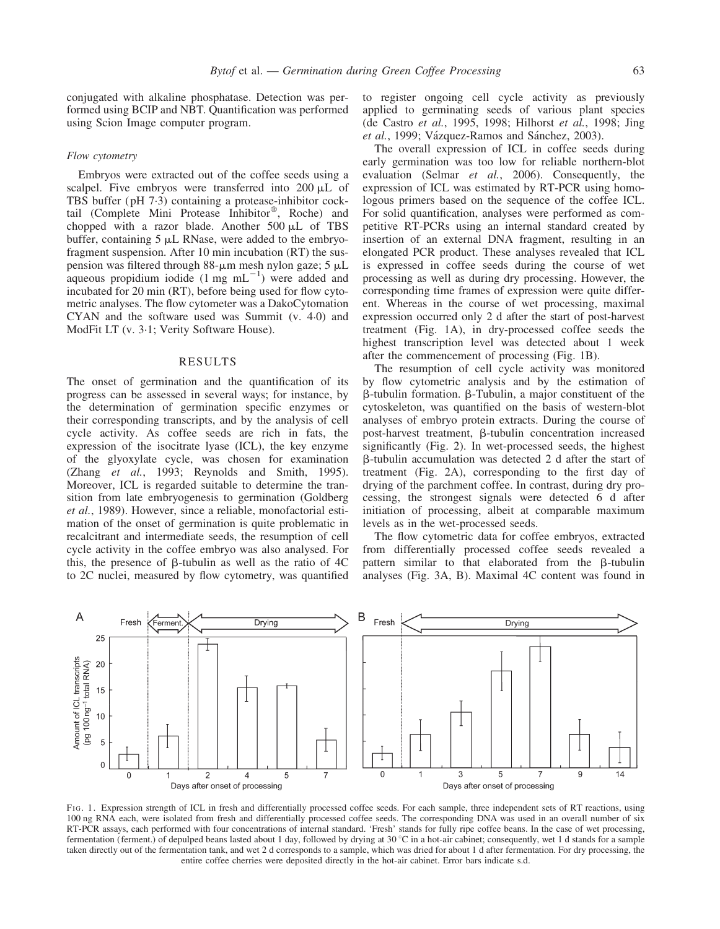conjugated with alkaline phosphatase. Detection was performed using BCIP and NBT. Quantification was performed using Scion Image computer program.

## Flow cytometry

Embryos were extracted out of the coffee seeds using a scalpel. Five embryos were transferred into  $200 \mu L$  of TBS buffer (pH 7.3) containing a protease-inhibitor cocktail (Complete Mini Protease Inhibitor<sup>®</sup>, Roche) and chopped with a razor blade. Another  $500 \mu L$  of TBS buffer, containing  $5 \mu L$  RNase, were added to the embryofragment suspension. After 10 min incubation (RT) the suspension was filtered through  $88-\mu m$  mesh nylon gaze;  $5 \mu L$ aqueous propidium iodide  $(1 \text{ mg } \text{mL}^{-1})$  were added and incubated for 20 min (RT), before being used for flow cytometric analyses. The flow cytometer was a DakoCytomation CYAN and the software used was Summit (v. 4.0) and ModFit LT (v. 3.1; Verity Software House).

#### RESULTS

The onset of germination and the quantification of its progress can be assessed in several ways; for instance, by the determination of germination specific enzymes or their corresponding transcripts, and by the analysis of cell cycle activity. As coffee seeds are rich in fats, the expression of the isocitrate lyase (ICL), the key enzyme of the glyoxylate cycle, was chosen for examination (Zhang et al., 1993; Reynolds and Smith, 1995). Moreover, ICL is regarded suitable to determine the transition from late embryogenesis to germination (Goldberg et al., 1989). However, since a reliable, monofactorial estimation of the onset of germination is quite problematic in recalcitrant and intermediate seeds, the resumption of cell cycle activity in the coffee embryo was also analysed. For this, the presence of  $\beta$ -tubulin as well as the ratio of 4C to 2C nuclei, measured by flow cytometry, was quantified

to register ongoing cell cycle activity as previously applied to germinating seeds of various plant species (de Castro et al., 1995, 1998; Hilhorst et al., 1998; Jing et al., 1999; Vázquez-Ramos and Sánchez, 2003).

The overall expression of ICL in coffee seeds during early germination was too low for reliable northern-blot evaluation (Selmar et al., 2006). Consequently, the expression of ICL was estimated by RT-PCR using homologous primers based on the sequence of the coffee ICL. For solid quantification, analyses were performed as competitive RT-PCRs using an internal standard created by insertion of an external DNA fragment, resulting in an elongated PCR product. These analyses revealed that ICL is expressed in coffee seeds during the course of wet processing as well as during dry processing. However, the corresponding time frames of expression were quite different. Whereas in the course of wet processing, maximal expression occurred only 2 d after the start of post-harvest treatment (Fig. 1A), in dry-processed coffee seeds the highest transcription level was detected about 1 week after the commencement of processing (Fig. 1B).

The resumption of cell cycle activity was monitored by flow cytometric analysis and by the estimation of  $\beta$ -tubulin formation.  $\beta$ -Tubulin, a major constituent of the cytoskeleton, was quantified on the basis of western-blot analyses of embryo protein extracts. During the course of post-harvest treatment,  $\beta$ -tubulin concentration increased significantly (Fig. 2). In wet-processed seeds, the highest b-tubulin accumulation was detected 2 d after the start of treatment (Fig. 2A), corresponding to the first day of drying of the parchment coffee. In contrast, during dry processing, the strongest signals were detected 6 d after initiation of processing, albeit at comparable maximum levels as in the wet-processed seeds.

The flow cytometric data for coffee embryos, extracted from differentially processed coffee seeds revealed a pattern similar to that elaborated from the  $\beta$ -tubulin analyses (Fig. 3A, B). Maximal 4C content was found in



FIG. 1. Expression strength of ICL in fresh and differentially processed coffee seeds. For each sample, three independent sets of RT reactions, using 100 ng RNA each, were isolated from fresh and differentially processed coffee seeds. The corresponding DNA was used in an overall number of six RT-PCR assays, each performed with four concentrations of internal standard. 'Fresh' stands for fully ripe coffee beans. In the case of wet processing, fermentation (ferment.) of depulped beans lasted about 1 day, followed by drying at 30 °C in a hot-air cabinet; consequently, wet 1 d stands for a sample taken directly out of the fermentation tank, and wet 2 d corresponds to a sample, which was dried for about 1 d after fermentation. For dry processing, the entire coffee cherries were deposited directly in the hot-air cabinet. Error bars indicate s.d.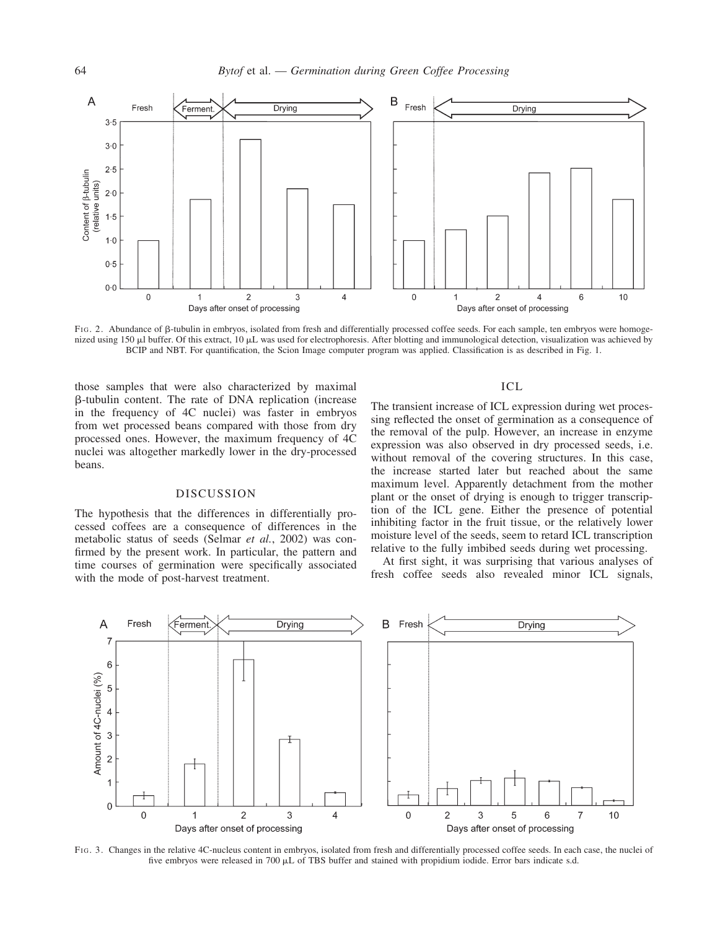

FIG. 2. Abundance of B-tubulin in embryos, isolated from fresh and differentially processed coffee seeds. For each sample, ten embryos were homogenized using 150  $\mu$ l buffer. Of this extract, 10  $\mu$ L was used for electrophoresis. After blotting and immunological detection, visualization was achieved by BCIP and NBT. For quantification, the Scion Image computer program was applied. Classification is as described in Fig. 1.

those samples that were also characterized by maximal b-tubulin content. The rate of DNA replication (increase in the frequency of 4C nuclei) was faster in embryos from wet processed beans compared with those from dry processed ones. However, the maximum frequency of 4C nuclei was altogether markedly lower in the dry-processed beans.

## DISCUSSION

The hypothesis that the differences in differentially processed coffees are a consequence of differences in the metabolic status of seeds (Selmar et al., 2002) was confirmed by the present work. In particular, the pattern and time courses of germination were specifically associated with the mode of post-harvest treatment.

## ICL

The transient increase of ICL expression during wet processing reflected the onset of germination as a consequence of the removal of the pulp. However, an increase in enzyme expression was also observed in dry processed seeds, i.e. without removal of the covering structures. In this case, the increase started later but reached about the same maximum level. Apparently detachment from the mother plant or the onset of drying is enough to trigger transcription of the ICL gene. Either the presence of potential inhibiting factor in the fruit tissue, or the relatively lower moisture level of the seeds, seem to retard ICL transcription relative to the fully imbibed seeds during wet processing.

At first sight, it was surprising that various analyses of fresh coffee seeds also revealed minor ICL signals,



FIG. 3. Changes in the relative 4C-nucleus content in embryos, isolated from fresh and differentially processed coffee seeds. In each case, the nuclei of five embryos were released in 700  $\mu$ L of TBS buffer and stained with propidium iodide. Error bars indicate s.d.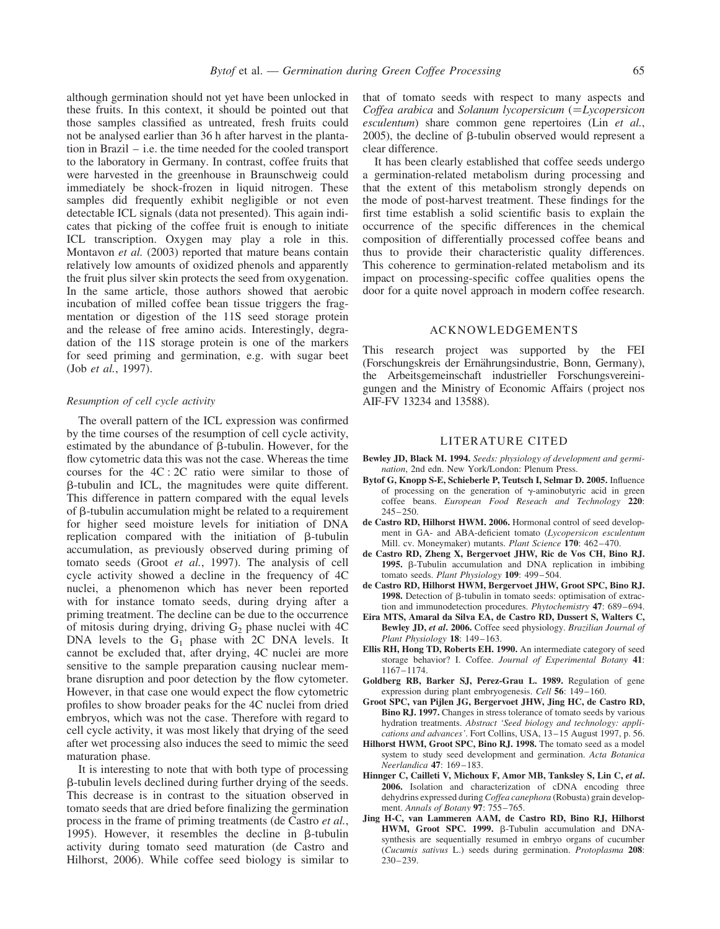although germination should not yet have been unlocked in these fruits. In this context, it should be pointed out that those samples classified as untreated, fresh fruits could not be analysed earlier than 36 h after harvest in the plantation in Brazil – i.e. the time needed for the cooled transport to the laboratory in Germany. In contrast, coffee fruits that were harvested in the greenhouse in Braunschweig could immediately be shock-frozen in liquid nitrogen. These samples did frequently exhibit negligible or not even detectable ICL signals (data not presented). This again indicates that picking of the coffee fruit is enough to initiate ICL transcription. Oxygen may play a role in this. Montavon *et al.* (2003) reported that mature beans contain relatively low amounts of oxidized phenols and apparently the fruit plus silver skin protects the seed from oxygenation. In the same article, those authors showed that aerobic incubation of milled coffee bean tissue triggers the fragmentation or digestion of the 11S seed storage protein and the release of free amino acids. Interestingly, degradation of the 11S storage protein is one of the markers for seed priming and germination, e.g. with sugar beet (Job et al., 1997).

#### Resumption of cell cycle activity

The overall pattern of the ICL expression was confirmed by the time courses of the resumption of cell cycle activity, estimated by the abundance of  $\beta$ -tubulin. However, for the flow cytometric data this was not the case. Whereas the time courses for the 4C : 2C ratio were similar to those of b-tubulin and ICL, the magnitudes were quite different. This difference in pattern compared with the equal levels of  $\beta$ -tubulin accumulation might be related to a requirement for higher seed moisture levels for initiation of DNA replication compared with the initiation of  $\beta$ -tubulin accumulation, as previously observed during priming of tomato seeds (Groot et al., 1997). The analysis of cell cycle activity showed a decline in the frequency of 4C nuclei, a phenomenon which has never been reported with for instance tomato seeds, during drying after a priming treatment. The decline can be due to the occurrence of mitosis during drying, driving  $G_2$  phase nuclei with  $4C$ DNA levels to the  $G_1$  phase with 2C DNA levels. It cannot be excluded that, after drying, 4C nuclei are more sensitive to the sample preparation causing nuclear membrane disruption and poor detection by the flow cytometer. However, in that case one would expect the flow cytometric profiles to show broader peaks for the 4C nuclei from dried embryos, which was not the case. Therefore with regard to cell cycle activity, it was most likely that drying of the seed after wet processing also induces the seed to mimic the seed maturation phase.

It is interesting to note that with both type of processing b-tubulin levels declined during further drying of the seeds. This decrease is in contrast to the situation observed in tomato seeds that are dried before finalizing the germination process in the frame of priming treatments (de Castro et al., 1995). However, it resembles the decline in  $\beta$ -tubulin activity during tomato seed maturation (de Castro and Hilhorst, 2006). While coffee seed biology is similar to

that of tomato seeds with respect to many aspects and Coffea arabica and Solanum lycopersicum  $(=\sim$ Lycopersicon esculentum) share common gene repertoires (Lin et al., 2005), the decline of  $\beta$ -tubulin observed would represent a clear difference.

It has been clearly established that coffee seeds undergo a germination-related metabolism during processing and that the extent of this metabolism strongly depends on the mode of post-harvest treatment. These findings for the first time establish a solid scientific basis to explain the occurrence of the specific differences in the chemical composition of differentially processed coffee beans and thus to provide their characteristic quality differences. This coherence to germination-related metabolism and its impact on processing-specific coffee qualities opens the door for a quite novel approach in modern coffee research.

#### ACKNOWLEDGEMENTS

This research project was supported by the FEI (Forschungskreis der Ernährungsindustrie, Bonn, Germany), the Arbeitsgemeinschaft industrieller Forschungsvereinigungen and the Ministry of Economic Affairs (project nos AIF-FV 13234 and 13588).

## LITERATURE CITED

- Bewley JD, Black M. 1994. Seeds: physiology of development and germination, 2nd edn. New York/London: Plenum Press.
- Bytof G, Knopp S-E, Schieberle P, Teutsch I, Selmar D. 2005. Influence of processing on the generation of  $\gamma$ -aminobutyric acid in green coffee beans. European Food Reseach and Technology 220:  $245 - 250$ .
- de Castro RD, Hilhorst HWM. 2006. Hormonal control of seed development in GA- and ABA-deficient tomato (Lycopersicon esculentum Mill. cv. Moneymaker) mutants. Plant Science 170: 462–470.
- de Castro RD, Zheng X, Bergervoet JHW, Ric de Vos CH, Bino RJ. 1995.  $\beta$ -Tubulin accumulation and DNA replication in imbibing tomato seeds. Plant Physiology 109: 499-504.
- de Castro RD, Hilhorst HWM, Bergervoet JHW, Groot SPC, Bino RJ. 1998. Detection of  $\beta$ -tubulin in tomato seeds: optimisation of extraction and immunodetection procedures. Phytochemistry 47: 689–694.
- Eira MTS, Amaral da Silva EA, de Castro RD, Dussert S, Walters C, Bewley JD, et al. 2006. Coffee seed physiology. Brazilian Journal of Plant Physiology 18: 149–163.
- Ellis RH, Hong TD, Roberts EH. 1990. An intermediate category of seed storage behavior? I. Coffee. Journal of Experimental Botany 41: 1167–1174.
- Goldberg RB, Barker SJ, Perez-Grau L. 1989. Regulation of gene expression during plant embryogenesis. Cell 56: 149–160.
- Groot SPC, van Pijlen JG, Bergervoet JHW, Jing HC, de Castro RD, Bino RJ. 1997. Changes in stress tolerance of tomato seeds by various hydration treatments. Abstract 'Seed biology and technology: applications and advances'. Fort Collins, USA, 13–15 August 1997, p. 56.
- Hilhorst HWM, Groot SPC, Bino RJ. 1998. The tomato seed as a model system to study seed development and germination. Acta Botanica Neerlandica 47: 169–183.
- Hinnger C, Cailleti V, Michoux F, Amor MB, Tanksley S, Lin C, et al. 2006. Isolation and characterization of cDNA encoding three dehydrins expressed during Coffea canephora (Robusta) grain development. Annals of Botany 97: 755-765.
- Jing H-C, van Lammeren AAM, de Castro RD, Bino RJ, Hilhorst HWM, Groot SPC. 1999. B-Tubulin accumulation and DNAsynthesis are sequentially resumed in embryo organs of cucumber (Cucumis sativus L.) seeds during germination. Protoplasma 208: 230–239.